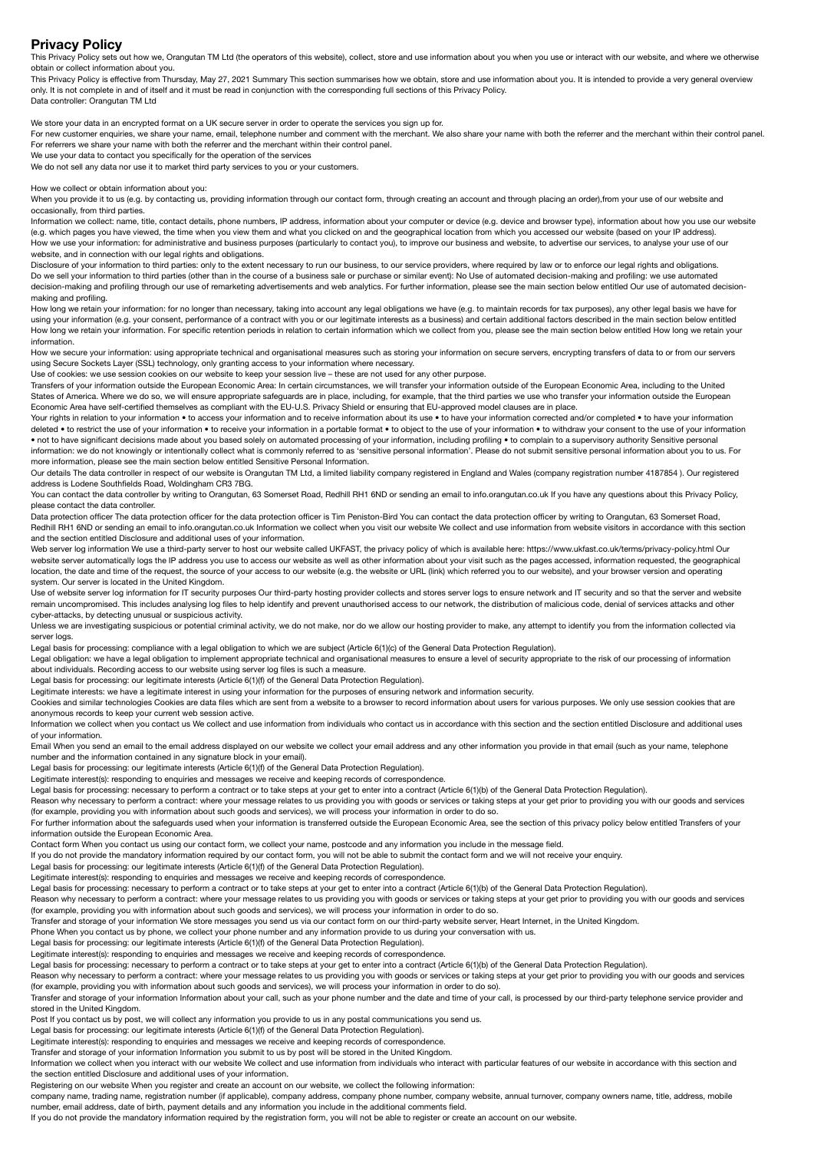**Privacy Policy** This Privacy Policy sets out how we, Orangutan TM Ltd (the operators of this website), collect, store and use information about you when you use or interact with our website, and where we otherwise obtain or collect information about you.

This Privacy Policy is effective from Thursday, May 27, 2021 Summary This section summarises how we obtain, store and use information about you. It is intended to provide a very general overview only. It is not complete in and of itself and it must be read in conjunction with the corresponding full sections of this Privacy Policy. Data controller: Orangutan TM Ltd

We store your data in an encrypted format on a UK secure server in order to operate the services you sign up for.

For new customer enquiries, we share your name, email, telephone number and comment with the merchant. We also share your name with both the referrer and the merchant within their control panel. For referrers we share your name with both the referrer and the merchant within their control panel.

We use your data to contact you specifically for the operation of the services

We do not sell any data nor use it to market third party services to you or your custom

## How we collect or obtain information about you:

When you provide it to us (e.g. by contacting us, providing information through our contact form, through creating an account and through placing an order), from your use of our website and occasionally, from third parties.

Information we collect: name, title, contact details, phone numbers, IP address, information about your computer or device (e.g. device and browser type), information about how you use our website (e.g. which pages you have viewed, the time when you view them and what you clicked on and the geographical location from which you accessed our website (based on your IP address). How we use your information: for administrative and business purposes (particularly to contact you), to improve our business and website, to advertise our services, to analyse your use of our website, and in connection with our legal rights and obligations.

Disclosure of your information to third parties: only to the extent necessary to run our business, to our service providers, where required by law or to enforce our legal rights and obligations. Do we sell your information to third parties (other than in the course of a business sale or purchase or similar event): No Use of automated decision-making and profiling: we use automated decision-making and profiling through our use of remarketing advertisements and web analytics. For further information, please see the main section below entitled Our use of automated decisionmaking and profiling.

How long we retain your information: for no longer than necessary, taking into account any legal obligations we have (e.g. to maintain records for tax purposes), any other legal basis we have for using your information (e.g. your consent, performance of a contract with you or our legitimate interests as a business) and certain additional factors described in the main section below entitled How long we retain your information. For specific retention periods in relation to certain information which we collect from you, please see the main section below entitled How long we retain your information.

How we secure your information: using appropriate technical and organisational measures such as storing your information on secure servers, encrypting transfers of data to or from our servers using Secure Sockets Layer (SSL) technology, only granting access to your information where necessary.

Use of cookies: we use session cookies on our website to keep your session live – these are not used for any other purpose.

Transfers of your information outside the European Economic Area: In certain circumstances, we will transfer your information outside of the European Economic Area, including to the United States of America. Where we do so, we will ensure appropriate safeguards are in place, including, for example, that the third parties we use who transfer your information outside the European Economic Area have self-certified themselves as compliant with the EU-U.S. Privacy Shield or ensuring that EU-approved model clauses are in place.

Your rights in relation to your information • to access your information and to receive information about its use • to have your information corrected and/or completed • to have your information deleted • to restrict the use of your information • to receive your information in a portable format • to object to the use of your information • to withdraw your consent to the use of your information • not to have significant decisions made about you based solely on automated processing of your information, including profiling • to complain to a supervisory authority Sensitive personal information: we do not knowingly or intentionally collect what is commonly referred to as 'sensitive personal information'. Please do not submit sensitive personal information about you to us. For more information, please see the main section below entitled Sensitive Personal Information.

Our details The data controller in respect of our website is Orangutan TM Ltd, a limited liability company registered in England and Wales (company registration number 4187854). Our registered address is Lodene Southfields Road, Woldingham CR3 7BG.

You can contact the data controller by writing to Orangutan, 63 Somerset Road, Redhill RH1 6ND or sending an email to info.orangutan.co.uk If you have any questions about this Privacy Policy, please contact the data controller.

Data protection officer The data protection officer for the data protection officer is Tim Peniston-Bird You can contact the data protection officer by writing to Orangutan, 63 Somerset Road, Redhill RH1 6ND or sending an email to info.orangutan.co.uk Information we collect when you visit our website We collect and use information from website visitors in accordance with this section and the section entitled Disclosure and additional uses of your information.

Web server log information We use a third-party server to host our website called UKFAST, the privacy policy of which is available here: https://www.ukfast.co.uk/terms/privacy-policy.html Our website server automatically logs the IP address you use to access our website as well as other information about your visit such as the pages accessed, information requested, the geographical location, the date and time of the request, the source of your access to our website (e.g. the website or URL (link) which referred you to our website), and your browser version and operating system. Our server is located in the United Kingdom.

Use of website server log information for IT security purposes Our third-party hosting provider collects and stores server logs to ensure network and IT security and so that the server and website remain uncompromised. This includes analysing log files to help identify and prevent unauthorised access to our network, the distribution of malicious code, denial of services attacks and other cyber-attacks, by detecting unusual or suspicious activity.

Unless we are investigating suspicious or potential criminal activity, we do not make, nor do we allow our hosting provider to make, any attempt to identify you from the information collected via server logs.

Legal basis for processing: compliance with a legal obligation to which we are subject (Article 6(1)(c) of the General Data Protection Regulation).

Legal obligation: we have a legal obligation to implement appropriate technical and organisational measures to ensure a level of security appropriate to the risk of our processing of information about individuals. Recording access to our website using server log files is such a measure.

Legal basis for processing: our legitimate interests (Article 6(1)(f) of the General Data Protection Regulation).

Legitimate interests: we have a legitimate interest in using your information for the purposes of ensuring network and information security.

Cookies and similar technologies Cookies are data files which are sent from a website to a browser to record information about users for various purposes. We only use session cookies that are anonymous records to keep your current web session active.

Information we collect when you contact us We collect and use information from individuals who contact us in accordance with this section and the section entitled Disclosure and additional uses of your information.

Email When you send an email to the email address displayed on our website we collect your email address and any other information you provide in that email (such as your name, telephone number and the information contained in any signature block in your email).

Legal basis for processing: our legitimate interests (Article 6(1)(f) of the General Data Protection Regulation).

Legitimate interest(s): responding to enquiries and messages we receive and keeping records of correspondence.

Legal basis for processing: necessary to perform a contract or to take steps at your get to enter into a contract (Article 6(1)(b) of the General Data Protection Regulation).

Reason why necessary to perform a contract: where your message relates to us providing you with goods or services or taking steps at your get prior to providing you with our goods and services (for example, providing you with information about such goods and services), we will process your information in order to do so.

For further information about the safeguards used when your information is transferred outside the European Economic Area, see the section of this privacy policy below entitled Transfers of your information outside the European Economic Area.

Contact form When you contact us using our contact form, we collect your name, postcode and any information you include in the message field.

If you do not provide the mandatory information required by our contact form, you will not be able to submit the contact form and we will not receive your enquiry.

Legal basis for processing: our legitimate interests (Article 6(1)(f) of the General Data Protection Regulation).

Legitimate interest(s): responding to enquiries and messages we receive and keeping records of correspondence.

Legal basis for processing: necessary to perform a contract or to take steps at your get to enter into a contract (Article 6(1)(b) of the General Data Protection Regulation).

Reason why necessary to perform a contract: where your message relates to us providing you with goods or services or taking steps at your get prior to providing you with our goods and services (for example, providing you with information about such goods and services), we will process your information in order to do so.

Transfer and storage of your information We store messages you send us via our contact form on our third-party website server, Heart Internet, in the United Kingdom.

Phone When you contact us by phone, we collect your phone number and any information provide to us during your conversation with us.

Legal basis for processing: our legitimate interests (Article 6(1)(f) of the General Data Protection Regulation).

Legitimate interest(s): responding to enquiries and messages we receive and keeping records of correspondence.

Legal basis for processing: necessary to perform a contract or to take steps at your get to enter into a contract (Article 6(1)(b) of the General Data Protection Regulation).

Reason why necessary to perform a contract: where your message relates to us providing you with goods or services or taking steps at your get prior to providing you with our goods and services (for example, providing you with information about such goods and services), we will process your information in order to do so).

Transfer and storage of your information Information about your call, such as your phone number and the date and time of your call, is processed by our third-party telephone service provider and stored in the United Kingdom.

Post If you contact us by post, we will collect any information you provide to us in any postal communications you send us.

Legal basis for processing: our legitimate interests (Article 6(1)(f) of the General Data Protection Regulation).

Legitimate interest(s): responding to enquiries and messages we receive and keeping records of correspondence.

Transfer and storage of your information Information you submit to us by post will be stored in the United Kingdom.

Information we collect when you interact with our website We collect and use information from individuals who interact with particular features of our website in accordance with this section and the section entitled Disclosure and additional uses of your information.

Registering on our website When you register and create an account on our website, we collect the following information:

company name, trading name, registration number (if applicable), company address, company phone number, company website, annual turnover, company owners name, title, address, mobile number, email address, date of birth, payment details and any information you include in the additional comments field.

If you do not provide the mandatory information required by the registration form, you will not be able to register or create an account on our website.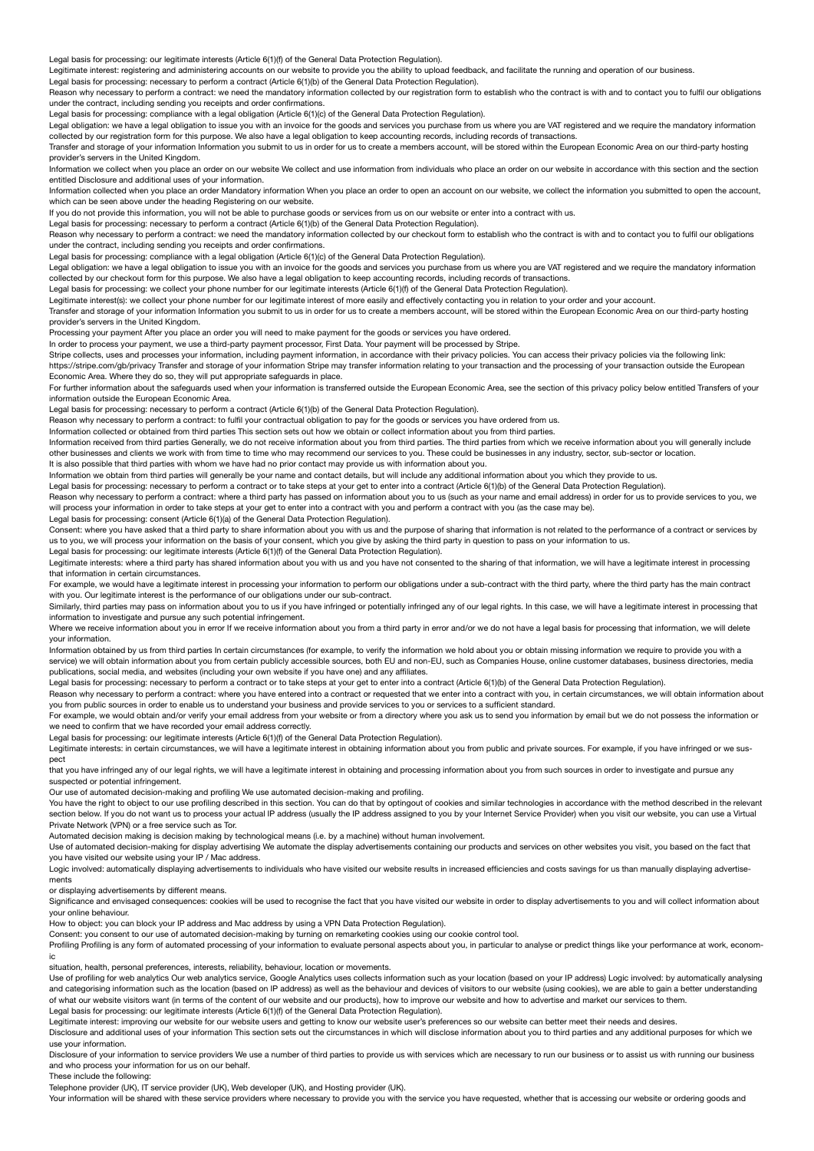Legal basis for processing: our legitimate interests (Article 6(1)(f) of the General Data Protection Regulation).

Legitimate interest: registering and administering accounts on our website to provide you the ability to upload feedback, and facilitate the running and operation of our business.

Legal basis for processing: necessary to perform a contract (Article 6(1)(b) of the General Data Protection Regulation). Reason why necessary to perform a contract: we need the mandatory information collected by our registration form to establish who the contract is with and to contact you to fulfil our obligations

under the contract, including sending you receipts and order confirmations. Legal basis for processing: compliance with a legal obligation (Article 6(1)(c) of the General Data Protection Regulation).

Legal obligation: we have a legal obligation to issue you with an invoice for the goods and services you purchase from us where you are VAT registered and we require the mandatory information collected by our registration form for this purpose. We also have a legal obligation to keep accounting records, including records of transactions.

Transfer and storage of your information Information you submit to us in order for us to create a members account, will be stored within the European Economic Area on our third-party hosting provider's servers in the United Kingdom.

Information we collect when you place an order on our website We collect and use information from individuals who place an order on our website in accordance with this section and the section entitled Disclosure and additional uses of your information.

Information collected when you place an order Mandatory information When you place an order to open an account on our website, we collect the information you submitted to open the account, which can be seen above under the heading Registering on our website.

If you do not provide this information, you will not be able to purchase goods or services from us on our website or enter into a contract with us.

Legal basis for processing: necessary to perform a contract (Article 6(1)(b) of the General Data Protection Regulation).

Reason why necessary to perform a contract: we need the mandatory information collected by our checkout form to establish who the contract is with and to contact you to fulfil our obligations under the contract, including sending you receipts and order confirmations.

Legal basis for processing: compliance with a legal obligation (Article 6(1)(c) of the General Data Protection Regulation).

Legal obligation: we have a legal obligation to issue you with an invoice for the goods and services you purchase from us where you are VAT registered and we require the mandatory information collected by our checkout form for this purpose. We also have a legal obligation to keep accounting records, including records of transactions.

Legal basis for processing: we collect your phone number for our legitimate interests (Article 6(1)(f) of the General Data Protection Regulation).

Legitimate interest(s): we collect your phone number for our legitimate interest of more easily and effectively contacting you in relation to your order and your account.

 $T_{\rm gas}$  and storage of your information Information you submit to us in order for us to create a members account, will be stored within the European Economic Area on our third-party hosting the stored within the European provider's servers in the United Kingdom.

Processing your payment After you place an order you will need to make payment for the goods or services you have ordered.

In order to process your payment, we use a third-party payment processor, First Data. Your payment will be processed by Stripe

Stripe collects, uses and processes your information, including payment information, in accordance with their privacy policies. You can access their privacy policies via the following link: https://stripe.com/gb/privacy Transfer and storage of your information Stripe may transfer information relating to your transaction and the processing of your transaction outside the European Economic Area. Where they do so, they will put appropriate safeguards in place.

For further information about the safeguards used when your information is transferred outside the European Economic Area, see the section of this privacy policy below entitled Transfers of your information outside the European Economic Area.

Legal basis for processing: necessary to perform a contract (Article 6(1)(b) of the General Data Protection Regulation).

Reason why necessary to perform a contract: to fulfil your contractual obligation to pay for the goods or services you have ordered from us.

Information collected or obtained from third parties This section sets out how we obtain or collect information about you from third parties.

Information received from third parties Generally, we do not receive information about you from third parties. The third parties from which we receive information about you will generally include other businesses and clients we work with from time to time who may recommend our services to you. These could be businesses in any industry, sector, sub-sector or location. It is also possible that third parties with whom we have had no prior contact may provide us with information about you.

Information we obtain from third parties will generally be your name and contact details, but will include any additional information about you which they provide to us.

Legal basis for processing: necessary to perform a contract or to take steps at your get to enter into a contract (Article 6(1)(b) of the General Data Protection Regulation).

Reason why necessary to perform a contract: where a third party has passed on information about you to us (such as your name and email address) in order for us to provide services to you, we will process your information in order to take steps at your get to enter into a contract with you and perform a contract with you (as the case may be).<br>Legal basis for processing: consent (Article 6(1)(a) of the General D

Consent: where you have asked that a third party to share information about you with us and the purpose of sharing that information is not related to the performance of a contract or services by us to you, we will process your information on the basis of your consent, which you give by asking the third party in question to pass on your information to us.

Legal basis for processing: our legitimate interests (Article 6(1)(f) of the General Data Protection Regulation).

Legitimate interests: where a third party has shared information about you with us and you have not consented to the sharing of that information, we will have a legitimate interest in processing that information in certain circumstances.

For example, we would have a legitimate interest in processing your information to perform our obligations under a sub-contract with the third party, where the third party has the main contract with you. Our legitimate interest is the performance of our obligations under our sub-contract.

Similarly, third parties may pass on information about you to us if you have infringed or potentially infringed any of our legal rights. In this case, we will have a legitimate interest in processing that information to investigate and pursue any such potential infringement.

Where we receive information about you in error If we receive information about you from a third party in error and/or we do not have a legal basis for processing that information, we will delete your information.

Information obtained by us from third parties In certain circumstances (for example, to verify the information we hold about you or obtain missing information we require to provide you with a service) we will obtain information about you from certain publicly accessible sources, both EU and non-EU, such as Companies House, online customer databases, business directories, media publications, social media, and websites (including your own website if you have one) and any affiliates.

Legal basis for processing: necessary to perform a contract or to take steps at your get to enter into a contract (Article 6(1)(b) of the General Data Protection Regulation).

Reason why necessary to perform a contract: where you have entered into a contract or requested that we enter into a contract with you, in certain circumstances, we will obtain information about you from public sources in order to enable us to understand your business and provide services to you or services to a sufficient standard.

For example, we would obtain and/or verify your email address from your website or from a directory where you ask us to send you information by email but we do not possess the information or we need to confirm that we have recorded your email address correctly.

Legal basis for processing: our legitimate interests (Article 6(1)(f) of the General Data Protection Regulation).

Legitimate interests: in certain circumstances, we will have a legitimate interest in obtaining information about you from public and private sources. For example, if you have infringed or we suspect

that you have infringed any of our legal rights, we will have a legitimate interest in obtaining and processing information about you from such sources in order to investigate and pursue any suspected or potential infringement.

Our use of automated decision-making and profiling We use automated decision-making and profiling.

You have the right to object to our use profiling described in this section. You can do that by optingout of cookies and similar technologies in accordance with the method described in the relevant section below. If you do not want us to process your actual IP address (usually the IP address assigned to you by your Internet Service Provider) when you visit our website, you can use a Virtual Private Network (VPN) or a free service such as Tor.

Automated decision making is decision making by technological means (i.e. by a machine) without human involvement.

Use of automated decision-making for display advertising We automate the display advertisements containing our products and services on other websites you visit, you based on the fact that you have visited our website using your IP / Mac address.

Logic involved: automatically displaying advertisements to individuals who have visited our website results in increased efficiencies and costs savings for us than manually displaying advertisements

or displaying advertisements by different means.

Significance and envisaged consequences: cookies will be used to recognise the fact that you have visited our website in order to display advertisements to you and will collect information about your online behaviour.

How to object: you can block your IP address and Mac address by using a VPN Data Protection Regulation).

Consent: you consent to our use of automated decision-making by turning on remarketing cookies using our cookie control tool.

Profiling Profiling is any form of automated processing of your information to evaluate personal aspects about you, in particular to analyse or predict things like your performance at work, economic

situation, health, personal preferences, interests, reliability, behaviour, location or movements.

Use of profiling for web analytics Our web analytics service, Google Analytics uses collects information such as your location (based on your IP address) Logic involved: by automatically analysing and categorising information such as the location (based on IP address) as well as the behaviour and devices of visitors to our website (using cookies), we are able to gain a better understanding of what our website visitors want (in terms of the content of our website and our products), how to improve our website and how to advertise and market our services to them. Legal basis for processing: our legitimate interests (Article 6(1)(f) of the General Data Protection Regulation).

Legitimate interest: improving our website for our website users and getting to know our website user's preferences so our website can better meet their needs and desires.

Disclosure and additional uses of your information This section sets out the circumstances in which will disclose information about you to third parties and any additional purposes for which we use your information.

Disclosure of your information to service providers We use a number of third parties to provide us with services which are necessary to run our business or to assist us with running our business and who process your information for us on our behalf.

These include the following:

Telephone provider (UK), IT service provider (UK), Web developer (UK), and Hosting provider (UK).

Your information will be shared with these service providers where necessary to provide you with the service you have requested, whether that is accessing our website or ordering goods and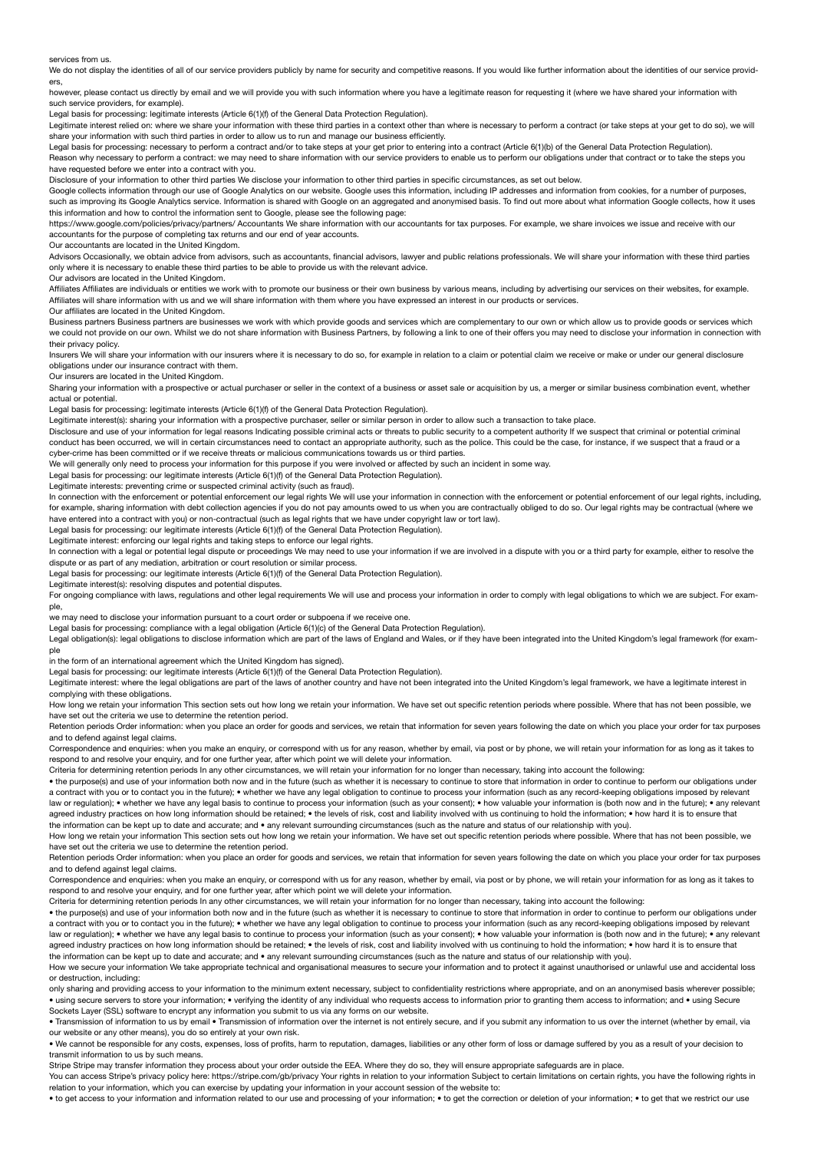services from us.

We do not display the identities of all of our service providers publicly by name for security and competitive reasons. If you would like further information about the identities of our service providers,

however, please contact us directly by email and we will provide you with such information where you have a legitimate reason for requesting it (where we have shared your information with such service providers, for example).

Legal basis for processing: legitimate interests (Article 6(1)(f) of the General Data Protection Regulation).

Legitimate interest relied on: where we share your information with these third parties in a context other than where is necessary to perform a contract (or take steps at your get to do so), we will

share your information with such third parties in order to allow us to run and manage our business efficiently.<br>Legal basis for processing: necessary to perform a contract and/or to take steps at your get prior to entering

Reason why necessary to perform a contract: we may need to share information with our service providers to enable us to perform our obligations under that contract or to take the steps you have requested before we enter into a contract with you.

Disclosure of your information to other third parties We disclose your information to other third parties in specific circumstances, as set out below.

Google collects information through our use of Google Analytics on our website. Google uses this information, including IP addresses and information from cookies, for a number of purposes, such as improving its Google Analytics service. Information is shared with Google on an aggregated and anonymised basis. To find out more about what information Google collects, how it uses this information and how to control the information sent to Google, please see the following page:

https://www.google.com/policies/privacy/partners/ Accountants We share information with our accountants for tax purposes. For example, we share invoices we issue and receive with our accountants for the purpose of completing tax returns and our end of year accounts.

Our accountants are located in the United Kingdom.

Advisors Occasionally, we obtain advice from advisors, such as accountants, financial advisors, lawyer and public relations professionals. We will share your information with these third parties only where it is necessary to enable these third parties to be able to provide us with the relevant advice.

Our advisors are located in the United Kingdom.

Affiliates Affiliates are individuals or entities we work with to promote our business or their own business by various means, including by advertising our services on their websites, for example. Affiliates will share information with us and we will share information with them where you have expressed an interest in our products or services.

Our affiliates are located in the United Kingdom.

Business partners Business partners are businesses we work with which provide goods and services which are complementary to our own or which allow us to provide goods or services which we could not provide on our own. Whilst we do not share information with Business Partners, by following a link to one of their offers you may need to disclose your information in connection with their privacy policy.

Insurers We will share your information with our insurers where it is necessary to do so, for example in relation to a claim or potential claim we receive or make or under our general disclosure obligations under our insurance contract with them.

Our insurers are located in the United Kingdom.

Sharing your information with a prospective or actual purchaser or seller in the context of a business or asset sale or acquisition by us, a merger or similar business combination event, whether actual or potential.

Legal basis for processing: legitimate interests (Article 6(1)(f) of the General Data Protection Regulation).

Legitimate interest(s): sharing your information with a prospective purchaser, seller or similar person in order to allow such a transaction to take place.

Disclosure and use of your information for legal reasons Indicating possible criminal acts or threats to public security to a competent authority If we suspect that criminal or potential criminal conduct has been occurred, we will in certain circumstances need to contact an appropriate authority, such as the police. This could be the case, for instance, if we suspect that a fraud or a cyber-crime has been committed or if we receive threats or malicious communications towards us or third parties.

We will generally only need to process your information for this purpose if you were involved or affected by such an incident in some way.

Legal basis for processing: our legitimate interests (Article 6(1)(f) of the General Data Protection Regulation).

Legitimate interests: preventing crime or suspected criminal activity (such as fraud).

In connection with the enforcement or potential enforcement our legal rights We will use your information in connection with the enforcement or potential enforcement of our legal rights, including, for example, sharing information with debt collection agencies if you do not pay amounts owed to us when you are contractually obliged to do so. Our legal rights may be contractual (where we<br>have entered into a contract wi

Legal basis for processing: our legitimate interests (Article 6(1)(f) of the General Data Protection Regulation).

Legitimate interest: enforcing our legal rights and taking steps to enforce our legal rights.

In connection with a legal or potential legal dispute or proceedings We may need to use your information if we are involved in a dispute with you or a third party for example, either to resolve the dispute or as part of any mediation, arbitration or court resolution or similar process.

Legal basis for processing: our legitimate interests (Article 6(1)(f) of the General Data Protection Regulation).

Legitimate interest(s): resolving disputes and potential disputes.

For ongoing compliance with laws, requlations and other legal requirements We will use and process your information in order to comply with legal obligations to which we are subject. For example,

we may need to disclose your information pursuant to a court order or subpoena if we receive one.

Legal basis for processing: compliance with a legal obligation (Article 6(1)(c) of the General Data Protection Regulation).

Legal obligation(s): legal obligations to disclose information which are part of the laws of England and Wales, or if they have been integrated into the United Kingdom's legal framework (for example

in the form of an international agreement which the United Kingdom has signed).

Legal basis for processing: our legitimate interests (Article 6(1)(f) of the General Data Protection Regulation).

Legitimate interest: where the legal obligations are part of the laws of another country and have not been integrated into the United Kingdom's legal framework, we have a legitimate interest in complying with these obligations.

How long we retain your information This section sets out how long we retain your information. We have set out specific retention periods where possible. Where that has not been possible, we have set out the criteria we use to determine the retention period.

Retention periods Order information: when you place an order for goods and services, we retain that information for seven years following the date on which you place your order for tax purposes and to defend against legal claims.

Correspondence and enquiries: when you make an enquiry, or correspond with us for any reason, whether by email, via post or by phone, we will retain your information for as long as it takes to respond to and resolve your enquiry, and for one further year, after which point we will delete your information.

Criteria for determining retention periods In any other circumstances, we will retain your information for no longer than necessary, taking into account the following:

• the purpose(s) and use of your information both now and in the future (such as whether it is necessary to continue to store that information in order to continue to perform our obligations under a contract with you or to contact you in the future); • whether we have any legal obligation to continue to process your information (such as any record-keeping obligations imposed by relevant law or regulation); • whether we have any legal basis to continue to process your information (such as your consent); • how valuable your information is (both now and in the future); • any relevant agreed industry practices on how long information should be retained; • the levels of risk, cost and liability involved with us continuing to hold the information; • how hard it is to ensure that the information can be kept up to date and accurate; and • any relevant surrounding circumstances (such as the nature and status of our relationship with you).

How long we retain your information This section sets out how long we retain your information. We have set out specific retention periods where possible. Where that has not been possible, we have set out the criteria we use to determine the retention period.

Retention periods Order information: when you place an order for goods and services, we retain that information for seven years following the date on which you place your order for tax purposes and to defend against legal claims.

Correspondence and enquiries: when you make an enquiry, or correspond with us for any reason, whether by email, via post or by phone, we will retain your information for as long as it takes to respond to and resolve your enquiry, and for one further year, after which point we will delete your information.

Criteria for determining retention periods In any other circumstances, we will retain your information for no longer than necessary, taking into account the following:

• the purpose(s) and use of your information both now and in the future (such as whether it is necessary to continue to store that information in order to continue to perform our obligations under a contract with you or to contact you in the future); • whether we have any legal obligation to continue to process your information (such as any record-keeping obligations imposed by relevant law or regulation); • whether we have any legal basis to continue to process your information (such as your consent); • how valuable your information is (both now and in the future); • any relevant agreed industry practices on how long information should be retained: • the levels of risk, cost and liability involved with us continuing to hold the information; • how hard it is to ensure that the information can be kept up to date and accurate; and • any relevant surrounding circumstances (such as the nature and status of our relationship with you).

How we secure your information We take appropriate technical and organisational measures to secure your information and to protect it against unauthorised or unlawful use and accidental loss or destruction, including:

only sharing and providing access to your information to the minimum extent necessary, subject to confidentiality restrictions where appropriate, and on an anonymised basis wherever possible; • using secure servers to store your information; • verifying the identity of any individual who requests access to information prior to granting them access to information; and • using Secure Sockets Layer (SSL) software to encrypt any information you submit to us via any forms on our website.

• Transmission of information to us by email • Transmission of information over the internet is not entirely secure, and if you submit any information to us over the internet (whether by email, via our website or any other means), you do so entirely at your own risk.

• We cannot be responsible for any costs, expenses, loss of profits, harm to reputation, damages, liabilities or any other form of loss or damage suffered by you as a result of your decision to transmit information to us by such means.

Stripe Stripe may transfer information they process about your order outside the EEA. Where they do so, they will ensure appropriate safeguards are in place

You can access Stripe's privacy policy here: https://stripe.com/gb/privacy Your rights in relation to your information Subject to certain limitations on certain rights, you have the following rights in relation to your information, which you can exercise by updating your information in your account session of the website to:

• to get access to your information and information related to our use and processing of your information; • to get the correction or deletion of your information; • to get that we restrict our use